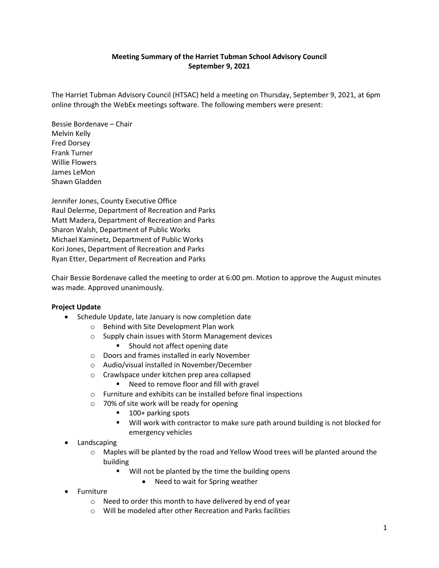## **Meeting Summary of the Harriet Tubman School Advisory Council September 9, 2021**

The Harriet Tubman Advisory Council (HTSAC) held a meeting on Thursday, September 9, 2021, at 6pm online through the WebEx meetings software. The following members were present:

Bessie Bordenave – Chair Melvin Kelly Fred Dorsey Frank Turner Willie Flowers James LeMon Shawn Gladden

Jennifer Jones, County Executive Office Raul Delerme, Department of Recreation and Parks Matt Madera, Department of Recreation and Parks Sharon Walsh, Department of Public Works Michael Kaminetz, Department of Public Works Kori Jones, Department of Recreation and Parks Ryan Etter, Department of Recreation and Parks

Chair Bessie Bordenave called the meeting to order at 6:00 pm. Motion to approve the August minutes was made. Approved unanimously.

## **Project Update**

- Schedule Update, late January is now completion date
	- o Behind with Site Development Plan work
	- o Supply chain issues with Storm Management devices
		- **Should not affect opening date**
	- o Doors and frames installed in early November
	- o Audio/visual installed in November/December
	- o Crawlspace under kitchen prep area collapsed
		- Need to remove floor and fill with gravel
	- o Furniture and exhibits can be installed before final inspections
	- o 70% of site work will be ready for opening
		- 100+ parking spots
		- Will work with contractor to make sure path around building is not blocked for emergency vehicles
- **Landscaping** 
	- $\circ$  Maples will be planted by the road and Yellow Wood trees will be planted around the building
		- **Will not be planted by the time the building opens** 
			- Need to wait for Spring weather
- Furniture
	- o Need to order this month to have delivered by end of year
	- o Will be modeled after other Recreation and Parks facilities